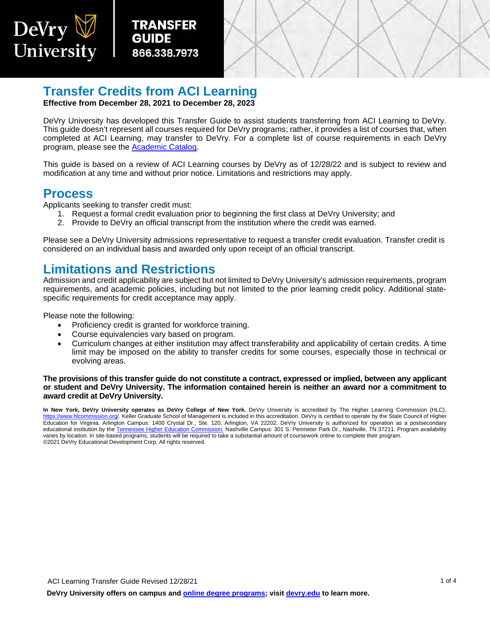



# **Transfer Credits from ACI Learning**

**Effective from December 28, 2021 to December 28, 2023**

DeVry University has developed this Transfer Guide to assist students transferring from ACI Learning to DeVry. This guide doesn't represent all courses required for DeVry programs; rather, it provides a list of courses that, when completed at ACI Learning, may transfer to DeVry. For a complete list of course requirements in each DeVry program, please see the [Academic Catalog.](https://www.devry.edu/online-programs/academics/academic-catalog.html)

This guide is based on a review of ACI Learning courses by DeVry as of 12/28/22 and is subject to review and modification at any time and without prior notice. Limitations and restrictions may apply.

### **Process**

DeVry

University

Applicants seeking to transfer credit must:

- 1. Request a formal credit evaluation prior to beginning the first class at DeVry University; and
- 2. Provide to DeVry an official transcript from the institution where the credit was earned.

Please see a DeVry University admissions representative to request a transfer credit evaluation. Transfer credit is considered on an individual basis and awarded only upon receipt of an official transcript.

### **Limitations and Restrictions**

Admission and credit applicability are subject but not limited to DeVry University's admission requirements, program requirements, and academic policies, including but not limited to the prior learning credit policy. Additional statespecific requirements for credit acceptance may apply.

Please note the following:

- Proficiency credit is granted for workforce training.
- Course equivalencies vary based on program.
- Curriculum changes at either institution may affect transferability and applicability of certain credits. A time limit may be imposed on the ability to transfer credits for some courses, especially those in technical or evolving areas.

#### **The provisions of this transfer guide do not constitute a contract, expressed or implied, between any applicant or student and DeVry University. The information contained herein is neither an award nor a commitment to award credit at DeVry University.**

**In New York, DeVry University operates as DeVry College of New York.** DeVry University is accredited by The Higher Learning Commission (HLC), [https://www.hlcommission.org/.](https://www.hlcommission.org/) Keller Graduate School of Management is included in this accreditation. DeVry is certified to operate by the State Council of Higher Education for Virginia. Arlington Campus: 1400 Crystal Dr., Ste. 120, Arlington, VA 22202. DeVry University is authorized for operation as a postsecondary educational institution by th[e Tennessee Higher Education Commission.](https://www.tn.gov/thec) Nashville Campus: 301 S. Perimeter Park Dr., Nashville, TN 37211. Program availability varies by location. In site-based programs, students will be required to take a substantial amount of coursework online to complete their program. ©2021 DeVry Educational Development Corp. All rights reserved.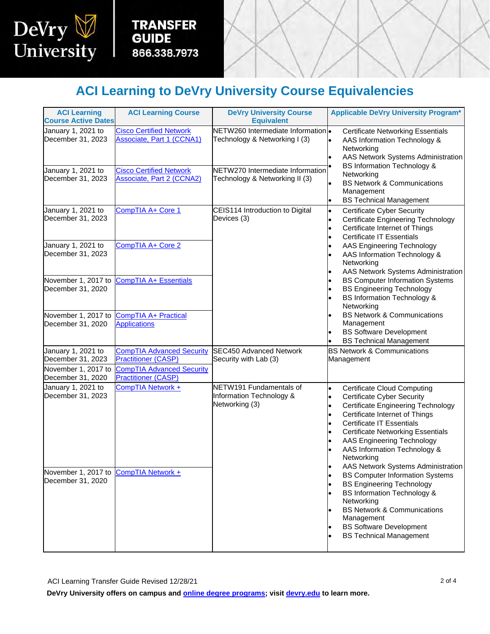

**TRANSFER GUIDE** 866.338.7973

I

# **ACI Learning to DeVry University Course Equivalencies**

| <b>ACI Learning</b><br><b>Course Active Dates</b> | <b>ACI Learning Course</b>                                         | <b>DeVry University Course</b>                                                                                                                                                                                                                                                      | <b>Applicable DeVry University Program*</b>                                                                                                                                                                                                                                                                                                                                                                                            |
|---------------------------------------------------|--------------------------------------------------------------------|-------------------------------------------------------------------------------------------------------------------------------------------------------------------------------------------------------------------------------------------------------------------------------------|----------------------------------------------------------------------------------------------------------------------------------------------------------------------------------------------------------------------------------------------------------------------------------------------------------------------------------------------------------------------------------------------------------------------------------------|
| January 1, 2021 to                                | <b>Cisco Certified Network</b>                                     | <b>Equivalent</b><br>NETW260 Intermediate Information .                                                                                                                                                                                                                             |                                                                                                                                                                                                                                                                                                                                                                                                                                        |
| December 31, 2023                                 | <b>Associate, Part 1 (CCNA1)</b>                                   | Technology & Networking I (3)                                                                                                                                                                                                                                                       | <b>Certificate Networking Essentials</b><br>AAS Information Technology &<br>Networking<br>AAS Network Systems Administration<br><b>BS Information Technology &amp;</b><br>Networking<br><b>BS Network &amp; Communications</b><br>Management<br><b>BS Technical Management</b><br><b>Certificate Cyber Security</b><br><b>Certificate Engineering Technology</b><br>Certificate Internet of Things<br><b>Certificate IT Essentials</b> |
| January 1, 2021 to<br>December 31, 2023           | <b>Cisco Certified Network</b><br><b>Associate, Part 2 (CCNA2)</b> | NETW270 Intermediate Information<br>Technology & Networking II (3)                                                                                                                                                                                                                  |                                                                                                                                                                                                                                                                                                                                                                                                                                        |
| January 1, 2021 to<br>December 31, 2023           | CompTIA A+ Core 1                                                  | CEIS114 Introduction to Digital<br>$\bullet$<br>Devices (3)<br>lo<br>AAS Engineering Technology<br>AAS Information Technology &<br>Networking<br><b>BS Computer Information Systems</b><br><b>BS Engineering Technology</b><br><b>BS Information Technology &amp;</b><br>Networking |                                                                                                                                                                                                                                                                                                                                                                                                                                        |
| January 1, 2021 to<br>December 31, 2023           | CompTIA A+ Core 2                                                  |                                                                                                                                                                                                                                                                                     | AAS Network Systems Administration                                                                                                                                                                                                                                                                                                                                                                                                     |
| November 1, 2017 to<br>December 31, 2020          | <b>CompTIA A+ Essentials</b>                                       |                                                                                                                                                                                                                                                                                     |                                                                                                                                                                                                                                                                                                                                                                                                                                        |
| November 1, 2017 to<br>December 31, 2020          | <b>CompTIA A+ Practical</b><br><b>Applications</b>                 |                                                                                                                                                                                                                                                                                     | <b>BS Network &amp; Communications</b><br>Management<br><b>BS Software Development</b><br><b>BS Technical Management</b>                                                                                                                                                                                                                                                                                                               |
| January 1, 2021 to<br>December 31, 2023           | <b>CompTIA Advanced Security</b><br><b>Practitioner (CASP)</b>     | <b>SEC450 Advanced Network</b><br>Security with Lab (3)                                                                                                                                                                                                                             | <b>BS Network &amp; Communications</b><br>Management                                                                                                                                                                                                                                                                                                                                                                                   |
| November 1, 2017 to<br>December 31, 2020          | <b>CompTIA Advanced Security</b><br><b>Practitioner (CASP)</b>     |                                                                                                                                                                                                                                                                                     |                                                                                                                                                                                                                                                                                                                                                                                                                                        |
| January 1, 2021 to<br>December 31, 2023           | CompTIA Network +                                                  | NETW191 Fundamentals of<br>Information Technology &<br>Networking (3)                                                                                                                                                                                                               | <b>Certificate Cloud Computing</b><br>$\bullet$<br><b>Certificate Cyber Security</b><br><b>Certificate Engineering Technology</b><br>Certificate Internet of Things<br><b>Certificate IT Essentials</b><br><b>Certificate Networking Essentials</b><br>AAS Engineering Technology<br>AAS Information Technology &<br>Networking<br>AAS Network Systems Administration                                                                  |
| November 1, 2017 to<br>December 31, 2020          | <b>CompTIA Network +</b>                                           |                                                                                                                                                                                                                                                                                     | <b>BS Computer Information Systems</b><br><b>BS Engineering Technology</b><br><b>BS Information Technology &amp;</b><br>Networking<br><b>BS Network &amp; Communications</b><br>Management<br><b>BS Software Development</b><br><b>BS Technical Management</b>                                                                                                                                                                         |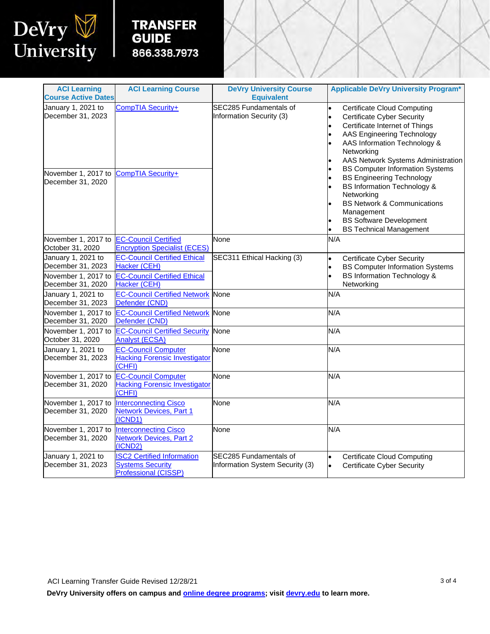

## **TRANSFER GUIDE** 866.338.7973

l

| <b>ACI Learning</b><br><b>Course Active Dates</b>              | <b>ACI Learning Course</b>                                                                  | <b>DeVry University Course</b><br><b>Equivalent</b>       | <b>Applicable DeVry University Program*</b>                                                                                                                                                                                                                    |
|----------------------------------------------------------------|---------------------------------------------------------------------------------------------|-----------------------------------------------------------|----------------------------------------------------------------------------------------------------------------------------------------------------------------------------------------------------------------------------------------------------------------|
| January 1, 2021 to<br>December 31, 2023                        | CompTIA Security+                                                                           | SEC285 Fundamentals of<br>Information Security (3)        | <b>Certificate Cloud Computing</b><br><b>Certificate Cyber Security</b><br>Certificate Internet of Things<br>AAS Engineering Technology<br>AAS Information Technology &<br>Networking<br>AAS Network Systems Administration                                    |
| November 1, 2017 to<br>December 31, 2020                       | CompTIA Security+                                                                           |                                                           | <b>BS Computer Information Systems</b><br><b>BS Engineering Technology</b><br><b>BS Information Technology &amp;</b><br>Networking<br><b>BS Network &amp; Communications</b><br>Management<br><b>BS Software Development</b><br><b>BS Technical Management</b> |
| November 1, 2017 to<br>October 31, 2020                        | <b>EC-Council Certified</b><br><b>Encryption Specialist (ECES)</b>                          | None                                                      | N/A                                                                                                                                                                                                                                                            |
| January 1, 2021 to<br>December 31, 2023<br>November 1, 2017 to | <b>EC-Council Certified Ethical</b><br>Hacker (CEH)<br><b>EC-Council Certified Ethical</b>  | SEC311 Ethical Hacking (3)                                | <b>Certificate Cyber Security</b><br>lo<br><b>BS Computer Information Systems</b><br><b>BS Information Technology &amp;</b>                                                                                                                                    |
| December 31, 2020                                              | Hacker (CEH)<br><b>EC-Council Certified Network</b>                                         |                                                           | Networking                                                                                                                                                                                                                                                     |
| January 1, 2021 to<br>December 31, 2023                        | Defender (CND)                                                                              | None                                                      | N/A                                                                                                                                                                                                                                                            |
| November 1, 2017 to<br>December 31, 2020                       | <b>EC-Council Certified Network None</b><br>Defender (CND)                                  |                                                           | N/A                                                                                                                                                                                                                                                            |
| November 1, 2017 to<br>October 31, 2020                        | <b>EC-Council Certified Security</b><br><b>Analyst (ECSA)</b>                               | None                                                      | N/A                                                                                                                                                                                                                                                            |
| January 1, 2021 to<br>December 31, 2023                        | <b>EC-Council Computer</b><br><b>Hacking Forensic Investigator</b><br>(CHFI)                | None                                                      | N/A                                                                                                                                                                                                                                                            |
| November 1, 2017 to<br>December 31, 2020                       | <b>EC-Council Computer</b><br><b>Hacking Forensic Investigator</b><br>(CHFI)                | None                                                      | N/A                                                                                                                                                                                                                                                            |
| November 1, 2017 to<br>December 31, 2020                       | <b>Interconnecting Cisco</b><br><b>Network Devices, Part 1</b><br>(ICND1)                   | None                                                      | N/A                                                                                                                                                                                                                                                            |
| November 1, 2017 to<br>December 31, 2020                       | <b>Interconnecting Cisco</b><br><b>Network Devices, Part 2</b><br>(ICND2)                   | None                                                      | N/A                                                                                                                                                                                                                                                            |
| January 1, 2021 to<br>December 31, 2023                        | <b>ISC2 Certified Information</b><br><b>Systems Security</b><br><b>Professional (CISSP)</b> | SEC285 Fundamentals of<br>Information System Security (3) | <b>Certificate Cloud Computing</b><br><b>Certificate Cyber Security</b><br>l.                                                                                                                                                                                  |